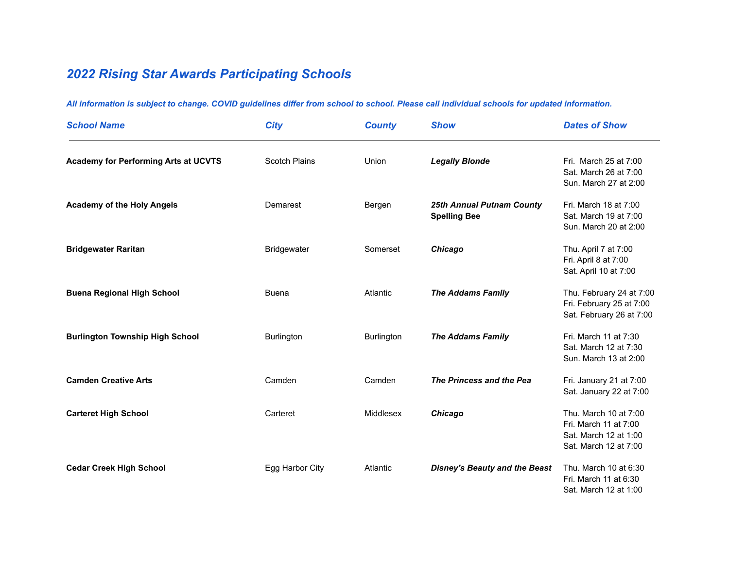## *2022 Rising Star Awards Participating Schools*

| <b>School Name</b>                          | <b>City</b>       | <b>County</b>     | <b>Show</b>                                      | <b>Dates of Show</b>                                                                             |
|---------------------------------------------|-------------------|-------------------|--------------------------------------------------|--------------------------------------------------------------------------------------------------|
| <b>Academy for Performing Arts at UCVTS</b> | Scotch Plains     | Union             | <b>Legally Blonde</b>                            | Fri. March 25 at 7:00<br>Sat. March 26 at 7:00<br>Sun. March 27 at 2:00                          |
| <b>Academy of the Holy Angels</b>           | Demarest          | Bergen            | 25th Annual Putnam County<br><b>Spelling Bee</b> | Fri. March 18 at 7:00<br>Sat. March 19 at 7:00<br>Sun. March 20 at 2:00                          |
| <b>Bridgewater Raritan</b>                  | Bridgewater       | Somerset          | Chicago                                          | Thu. April 7 at 7:00<br>Fri. April 8 at 7:00<br>Sat. April 10 at 7:00                            |
| <b>Buena Regional High School</b>           | <b>Buena</b>      | Atlantic          | <b>The Addams Family</b>                         | Thu. February 24 at 7:00<br>Fri. February 25 at 7:00<br>Sat. February 26 at 7:00                 |
| <b>Burlington Township High School</b>      | <b>Burlington</b> | <b>Burlington</b> | <b>The Addams Family</b>                         | Fri. March 11 at 7:30<br>Sat. March 12 at 7:30<br>Sun. March 13 at 2:00                          |
| <b>Camden Creative Arts</b>                 | Camden            | Camden            | The Princess and the Pea                         | Fri. January 21 at 7:00<br>Sat. January 22 at 7:00                                               |
| <b>Carteret High School</b>                 | Carteret          | Middlesex         | Chicago                                          | Thu. March 10 at 7:00<br>Fri. March 11 at 7:00<br>Sat. March 12 at 1:00<br>Sat. March 12 at 7:00 |
| <b>Cedar Creek High School</b>              | Egg Harbor City   | Atlantic          | <b>Disney's Beauty and the Beast</b>             | Thu. March 10 at 6:30<br>Fri. March 11 at 6:30<br>Sat. March 12 at 1:00                          |

*All information is subject to change. COVID guidelines differ from school to school. Please call individual schools for updated information.*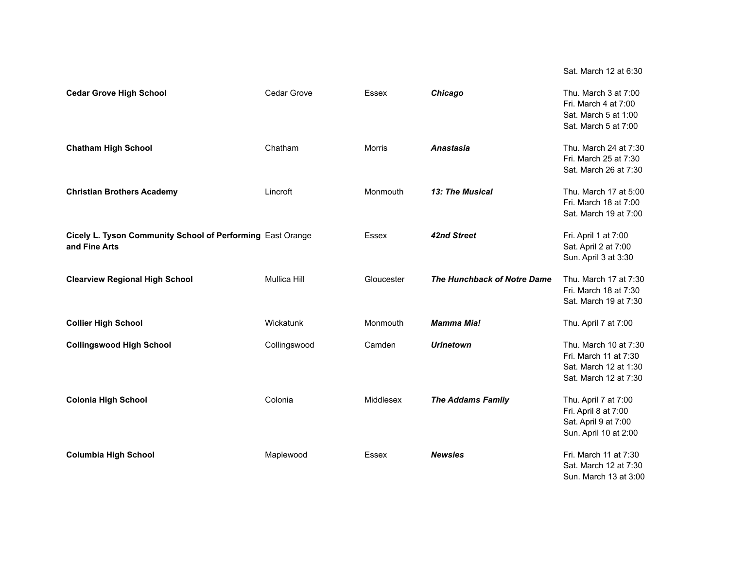**Cedar Grove High School** Cedar Grove Essex *Chicago* Thu. March 3 at 7:00 Fri. March 4 at 7:00 Sat. March 5 at 1:00 Sat. March 5 at 7:00 **Chatham High School** Chatham Morris **Anastasia Anastasia** Thu. March 24 at 7:30 Fri. March 25 at 7:30 Sat. March 26 at 7:30 **Christian Brothers Academy Lincroft Monmouth** *13: The Musical* **Thu. March 17 at 5:00** Thu. March 17 at 5:00 Fri. March 18 at 7:00 Sat. March 19 at 7:00 **Cicely L. Tyson Community School of Performing** East Orange Essex **42nd Street** Fri. April 1 at 7:00 **and Fine Arts** Sat. April 2 at 7:00 Sun. April 3 at 3:30 **Clearview Regional High School** Mullica Hill Gloucester *The Hunchback of Notre Dame* Thu. March 17 at 7:30 Fri. March 18 at 7:30 Sat. March 19 at 7:30 **Collier High School Monmouth** Monmouth *Mamma Mia!* Thu. April 7 at 7:00 **Collingswood High School** Collingswood Camden *Urinetown* Thu. March 10 at 7:30 Fri. March 11 at 7:30 Sat. March 12 at 1:30 Sat. March 12 at 7:30 **Colonia High School** Colonia Middlesex *The Addams Family* Thu. April 7 at 7:00 Fri. April 8 at 7:00 Sat. April 9 at 7:00 Sun. April 10 at 2:00 **Columbia High School** Maplewood Essex *Newsies* Fri. March 11 at 7:30 Sat. March 12 at 7:30 Sun. March 13 at 3:00

Sat. March 12 at 6:30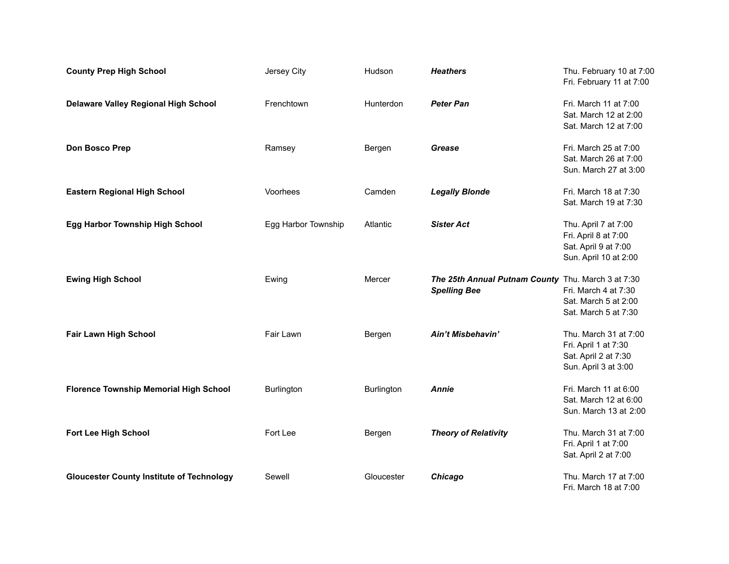| <b>County Prep High School</b>                   | Jersey City         | Hudson            | <b>Heathers</b>                                                           | Thu. February 10 at 7:00<br>Fri. February 11 at 7:00                                          |
|--------------------------------------------------|---------------------|-------------------|---------------------------------------------------------------------------|-----------------------------------------------------------------------------------------------|
| Delaware Valley Regional High School             | Frenchtown          | Hunterdon         | <b>Peter Pan</b>                                                          | Fri. March 11 at 7:00<br>Sat. March 12 at 2:00<br>Sat. March 12 at 7:00                       |
| Don Bosco Prep                                   | Ramsey              | Bergen            | Grease                                                                    | Fri. March 25 at 7:00<br>Sat. March 26 at 7:00<br>Sun. March 27 at 3:00                       |
| <b>Eastern Regional High School</b>              | Voorhees            | Camden            | <b>Legally Blonde</b>                                                     | Fri. March 18 at 7:30<br>Sat. March 19 at 7:30                                                |
| <b>Egg Harbor Township High School</b>           | Egg Harbor Township | Atlantic          | <b>Sister Act</b>                                                         | Thu. April 7 at 7:00<br>Fri. April 8 at 7:00<br>Sat. April 9 at 7:00<br>Sun. April 10 at 2:00 |
| <b>Ewing High School</b>                         | Ewing               | Mercer            | The 25th Annual Putnam County Thu. March 3 at 7:30<br><b>Spelling Bee</b> | Fri. March 4 at 7:30<br>Sat. March 5 at 2:00<br>Sat. March 5 at 7:30                          |
| Fair Lawn High School                            | Fair Lawn           | Bergen            | Ain't Misbehavin'                                                         | Thu. March 31 at 7:00<br>Fri. April 1 at 7:30<br>Sat. April 2 at 7:30<br>Sun. April 3 at 3:00 |
| <b>Florence Township Memorial High School</b>    | <b>Burlington</b>   | <b>Burlington</b> | <b>Annie</b>                                                              | Fri. March 11 at 6:00<br>Sat. March 12 at 6:00<br>Sun. March 13 at 2:00                       |
| Fort Lee High School                             | Fort Lee            | Bergen            | <b>Theory of Relativity</b>                                               | Thu. March 31 at 7:00<br>Fri. April 1 at 7:00<br>Sat. April 2 at 7:00                         |
| <b>Gloucester County Institute of Technology</b> | Sewell              | Gloucester        | Chicago                                                                   | Thu. March 17 at 7:00<br>Fri. March 18 at 7:00                                                |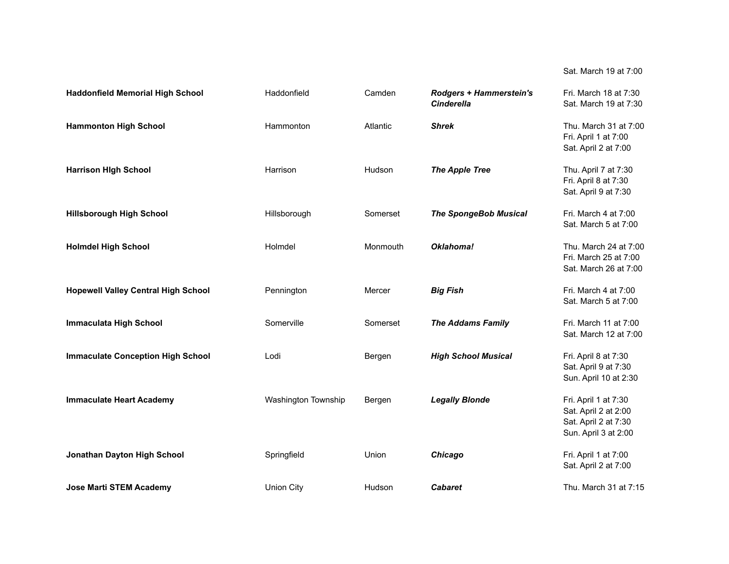## Sat. March 19 at 7:00

| <b>Haddonfield Memorial High School</b>    | Haddonfield         | Camden   | <b>Rodgers + Hammerstein's</b><br><b>Cinderella</b> | Fri. March 18 at 7:30<br>Sat. March 19 at 7:30                                               |
|--------------------------------------------|---------------------|----------|-----------------------------------------------------|----------------------------------------------------------------------------------------------|
| <b>Hammonton High School</b>               | Hammonton           | Atlantic | <b>Shrek</b>                                        | Thu. March 31 at 7:00<br>Fri. April 1 at 7:00<br>Sat. April 2 at 7:00                        |
| <b>Harrison High School</b>                | Harrison            | Hudson   | <b>The Apple Tree</b>                               | Thu. April 7 at 7:30<br>Fri. April 8 at 7:30<br>Sat. April 9 at 7:30                         |
| <b>Hillsborough High School</b>            | Hillsborough        | Somerset | <b>The SpongeBob Musical</b>                        | Fri. March 4 at 7:00<br>Sat. March 5 at 7:00                                                 |
| <b>Holmdel High School</b>                 | Holmdel             | Monmouth | Oklahoma!                                           | Thu. March 24 at 7:00<br>Fri. March 25 at 7:00<br>Sat. March 26 at 7:00                      |
| <b>Hopewell Valley Central High School</b> | Pennington          | Mercer   | <b>Big Fish</b>                                     | Fri. March 4 at 7:00<br>Sat. March 5 at 7:00                                                 |
| <b>Immaculata High School</b>              | Somerville          | Somerset | <b>The Addams Family</b>                            | Fri. March 11 at 7:00<br>Sat. March 12 at 7:00                                               |
| <b>Immaculate Conception High School</b>   | Lodi                | Bergen   | <b>High School Musical</b>                          | Fri. April 8 at 7:30<br>Sat. April 9 at 7:30<br>Sun. April 10 at 2:30                        |
| <b>Immaculate Heart Academy</b>            | Washington Township | Bergen   | <b>Legally Blonde</b>                               | Fri. April 1 at 7:30<br>Sat. April 2 at 2:00<br>Sat. April 2 at 7:30<br>Sun. April 3 at 2:00 |
| Jonathan Dayton High School                | Springfield         | Union    | Chicago                                             | Fri. April 1 at 7:00<br>Sat. April 2 at 7:00                                                 |
| <b>Jose Marti STEM Academy</b>             | <b>Union City</b>   | Hudson   | <b>Cabaret</b>                                      | Thu. March 31 at 7:15                                                                        |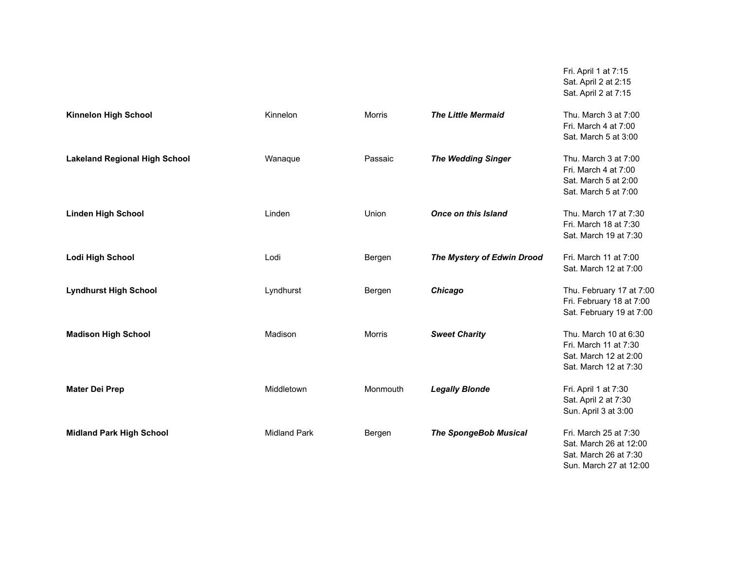| Fri. April 1 at 7:15 |  |
|----------------------|--|
| Sat. April 2 at 2:15 |  |
| Sat. April 2 at 7:15 |  |

| Kinnelon High School                 | Kinnelon            | <b>Morris</b> | <b>The Little Mermaid</b>    | Thu. March 3 at 7:00<br>Fri. March 4 at 7:00<br>Sat. March 5 at 3:00                               |
|--------------------------------------|---------------------|---------------|------------------------------|----------------------------------------------------------------------------------------------------|
| <b>Lakeland Regional High School</b> | Wanaque             | Passaic       | <b>The Wedding Singer</b>    | Thu. March 3 at 7:00<br>Fri. March 4 at 7:00<br>Sat. March 5 at 2:00<br>Sat. March 5 at 7:00       |
| <b>Linden High School</b>            | Linden              | Union         | <b>Once on this Island</b>   | Thu. March 17 at 7:30<br>Fri. March 18 at 7:30<br>Sat. March 19 at 7:30                            |
| <b>Lodi High School</b>              | Lodi                | Bergen        | The Mystery of Edwin Drood   | Fri. March 11 at 7:00<br>Sat. March 12 at 7:00                                                     |
| <b>Lyndhurst High School</b>         | Lyndhurst           | Bergen        | Chicago                      | Thu. February 17 at 7:00<br>Fri. February 18 at 7:00<br>Sat. February 19 at 7:00                   |
| <b>Madison High School</b>           | Madison             | <b>Morris</b> | <b>Sweet Charity</b>         | Thu. March 10 at 6:30<br>Fri. March 11 at 7:30<br>Sat. March 12 at 2:00<br>Sat. March 12 at 7:30   |
| <b>Mater Dei Prep</b>                | Middletown          | Monmouth      | <b>Legally Blonde</b>        | Fri. April 1 at 7:30<br>Sat. April 2 at 7:30<br>Sun. April 3 at 3:00                               |
| <b>Midland Park High School</b>      | <b>Midland Park</b> | Bergen        | <b>The SpongeBob Musical</b> | Fri. March 25 at 7:30<br>Sat. March 26 at 12:00<br>Sat. March 26 at 7:30<br>Sun. March 27 at 12:00 |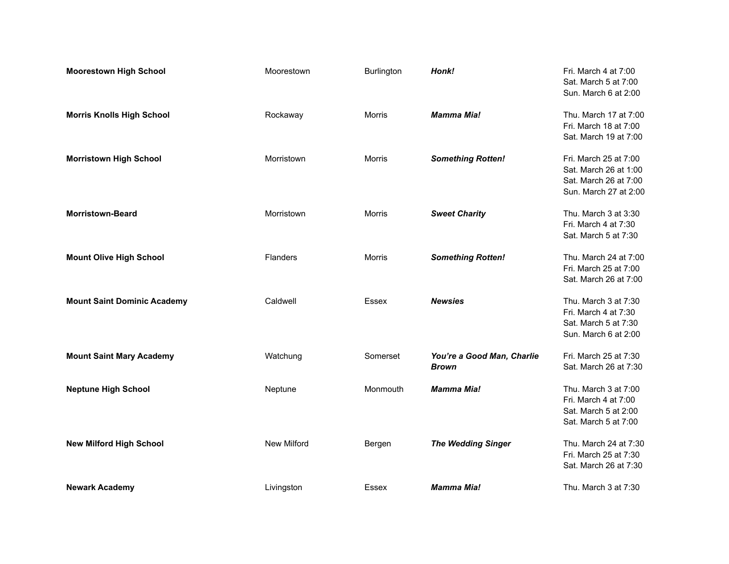| <b>Moorestown High School</b>      | Moorestown         | Burlington | Honk!                                      | Fri. March 4 at 7:00<br>Sat. March 5 at 7:00<br>Sun. March 6 at 2:00                             |
|------------------------------------|--------------------|------------|--------------------------------------------|--------------------------------------------------------------------------------------------------|
| <b>Morris Knolls High School</b>   | Rockaway           | Morris     | <b>Mamma Mia!</b>                          | Thu. March 17 at 7:00<br>Fri. March 18 at 7:00<br>Sat. March 19 at 7:00                          |
| <b>Morristown High School</b>      | Morristown         | Morris     | <b>Something Rotten!</b>                   | Fri. March 25 at 7:00<br>Sat. March 26 at 1:00<br>Sat. March 26 at 7:00<br>Sun. March 27 at 2:00 |
| <b>Morristown-Beard</b>            | Morristown         | Morris     | <b>Sweet Charity</b>                       | Thu. March 3 at 3:30<br>Fri. March 4 at 7:30<br>Sat. March 5 at 7:30                             |
| <b>Mount Olive High School</b>     | Flanders           | Morris     | <b>Something Rotten!</b>                   | Thu. March 24 at 7:00<br>Fri. March 25 at 7:00<br>Sat. March 26 at 7:00                          |
| <b>Mount Saint Dominic Academy</b> | Caldwell           | Essex      | <b>Newsies</b>                             | Thu. March 3 at 7:30<br>Fri. March 4 at 7:30<br>Sat. March 5 at 7:30<br>Sun. March 6 at 2:00     |
| <b>Mount Saint Mary Academy</b>    | Watchung           | Somerset   | You're a Good Man, Charlie<br><b>Brown</b> | Fri. March 25 at 7:30<br>Sat. March 26 at 7:30                                                   |
| <b>Neptune High School</b>         | Neptune            | Monmouth   | <b>Mamma Mia!</b>                          | Thu. March 3 at 7:00<br>Fri. March 4 at 7:00<br>Sat. March 5 at 2:00<br>Sat. March 5 at 7:00     |
| <b>New Milford High School</b>     | <b>New Milford</b> | Bergen     | <b>The Wedding Singer</b>                  | Thu. March 24 at 7:30<br>Fri. March 25 at 7:30<br>Sat. March 26 at 7:30                          |
| <b>Newark Academy</b>              | Livingston         | Essex      | <b>Mamma Mia!</b>                          | Thu. March 3 at 7:30                                                                             |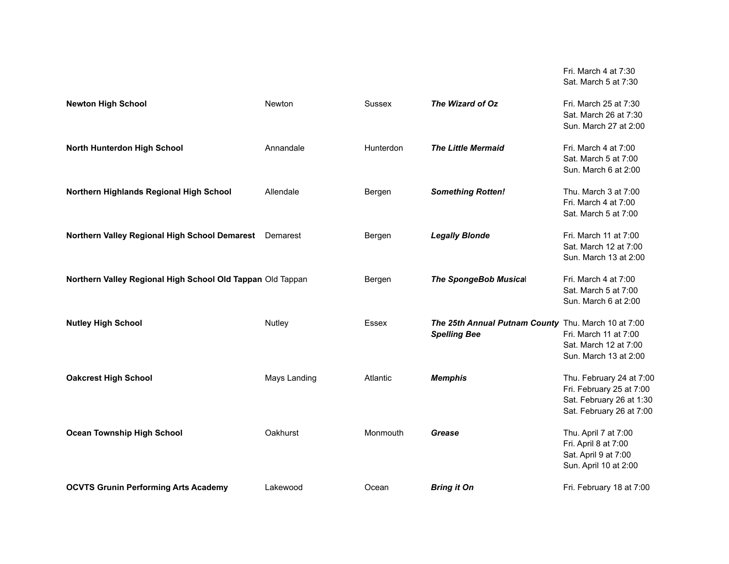|                                                            |              |           |                                                                            | Sat. March 5 at 7:30                                                                                         |
|------------------------------------------------------------|--------------|-----------|----------------------------------------------------------------------------|--------------------------------------------------------------------------------------------------------------|
| <b>Newton High School</b>                                  | Newton       | Sussex    | The Wizard of Oz                                                           | Fri. March 25 at 7:30<br>Sat. March 26 at 7:30<br>Sun. March 27 at 2:00                                      |
| North Hunterdon High School                                | Annandale    | Hunterdon | <b>The Little Mermaid</b>                                                  | Fri. March 4 at 7:00<br>Sat. March 5 at 7:00<br>Sun. March 6 at 2:00                                         |
| Northern Highlands Regional High School                    | Allendale    | Bergen    | <b>Something Rotten!</b>                                                   | Thu. March 3 at 7:00<br>Fri. March 4 at 7:00<br>Sat. March 5 at 7:00                                         |
| Northern Valley Regional High School Demarest              | Demarest     | Bergen    | <b>Legally Blonde</b>                                                      | Fri. March 11 at 7:00<br>Sat. March 12 at 7:00<br>Sun. March 13 at 2:00                                      |
| Northern Valley Regional High School Old Tappan Old Tappan |              | Bergen    | <b>The SpongeBob Musical</b>                                               | Fri. March 4 at 7:00<br>Sat. March 5 at 7:00<br>Sun. March 6 at 2:00                                         |
| <b>Nutley High School</b>                                  | Nutley       | Essex     | The 25th Annual Putnam County Thu. March 10 at 7:00<br><b>Spelling Bee</b> | Fri. March 11 at 7:00<br>Sat. March 12 at 7:00<br>Sun. March 13 at 2:00                                      |
| <b>Oakcrest High School</b>                                | Mays Landing | Atlantic  | <b>Memphis</b>                                                             | Thu. February 24 at 7:00<br>Fri. February 25 at 7:00<br>Sat. February 26 at 1:30<br>Sat. February 26 at 7:00 |
| <b>Ocean Township High School</b>                          | Oakhurst     | Monmouth  | Grease                                                                     | Thu. April 7 at 7:00<br>Fri. April 8 at 7:00<br>Sat. April 9 at 7:00<br>Sun. April 10 at 2:00                |
| <b>OCVTS Grunin Performing Arts Academy</b>                | Lakewood     | Ocean     | <b>Bring it On</b>                                                         | Fri. February 18 at 7:00                                                                                     |

Fri. March 4 at 7:30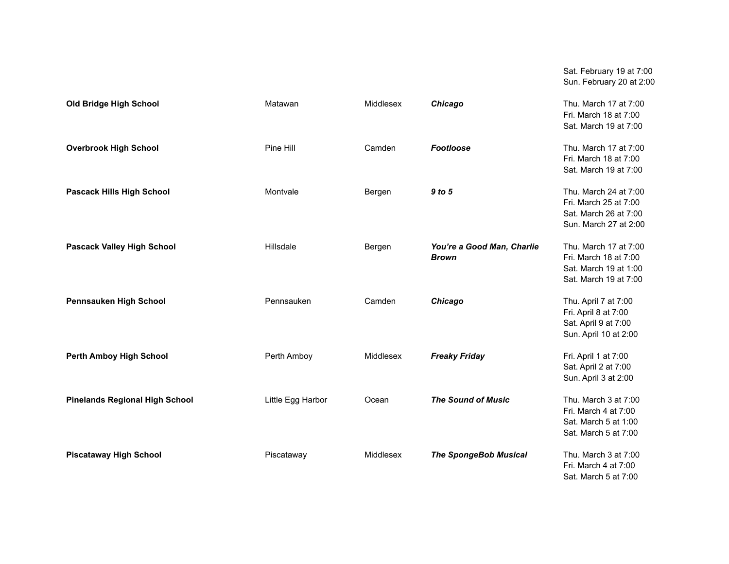|                                       |                   |           |                                            | Sat. February 19 at 7:00<br>Sun. February 20 at 2:00                                             |
|---------------------------------------|-------------------|-----------|--------------------------------------------|--------------------------------------------------------------------------------------------------|
| Old Bridge High School                | Matawan           | Middlesex | Chicago                                    | Thu. March 17 at 7:00<br>Fri. March 18 at 7:00<br>Sat. March 19 at 7:00                          |
| <b>Overbrook High School</b>          | Pine Hill         | Camden    | <b>Footloose</b>                           | Thu. March 17 at 7:00<br>Fri. March 18 at 7:00<br>Sat. March 19 at 7:00                          |
| <b>Pascack Hills High School</b>      | Montvale          | Bergen    | 9 to 5                                     | Thu. March 24 at 7:00<br>Fri. March 25 at 7:00<br>Sat. March 26 at 7:00<br>Sun. March 27 at 2:00 |
| <b>Pascack Valley High School</b>     | Hillsdale         | Bergen    | You're a Good Man, Charlie<br><b>Brown</b> | Thu. March 17 at 7:00<br>Fri. March 18 at 7:00<br>Sat. March 19 at 1:00<br>Sat. March 19 at 7:00 |
| Pennsauken High School                | Pennsauken        | Camden    | Chicago                                    | Thu. April 7 at 7:00<br>Fri. April 8 at 7:00<br>Sat. April 9 at 7:00<br>Sun. April 10 at 2:00    |
| <b>Perth Amboy High School</b>        | Perth Amboy       | Middlesex | <b>Freaky Friday</b>                       | Fri. April 1 at 7:00<br>Sat. April 2 at 7:00<br>Sun. April 3 at 2:00                             |
| <b>Pinelands Regional High School</b> | Little Egg Harbor | Ocean     | <b>The Sound of Music</b>                  | Thu. March 3 at 7:00<br>Fri. March 4 at 7:00<br>Sat. March 5 at 1:00<br>Sat. March 5 at 7:00     |
| <b>Piscataway High School</b>         | Piscataway        | Middlesex | <b>The SpongeBob Musical</b>               | Thu. March 3 at 7:00<br>Fri. March 4 at 7:00<br>Sat. March 5 at 7:00                             |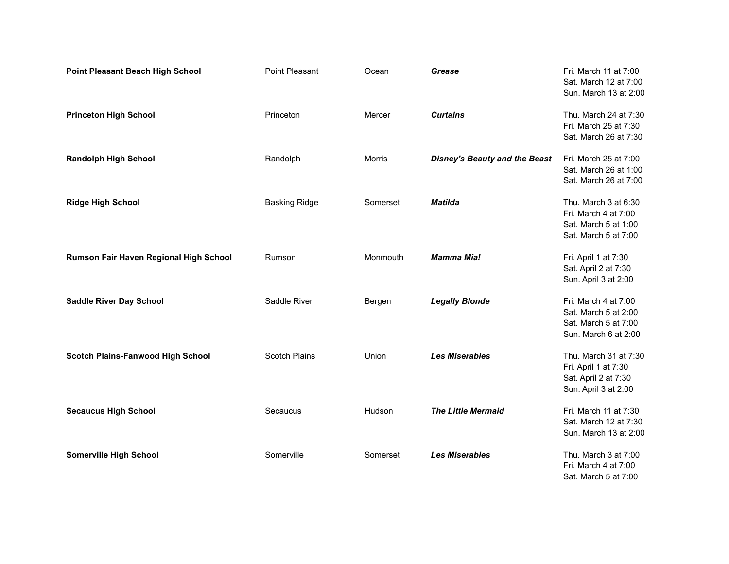| <b>Point Pleasant Beach High School</b>  | Point Pleasant       | Ocean    | Grease                               | Fri. March 11 at 7:00<br>Sat. March 12 at 7:00<br>Sun. March 13 at 2:00                       |
|------------------------------------------|----------------------|----------|--------------------------------------|-----------------------------------------------------------------------------------------------|
| <b>Princeton High School</b>             | Princeton            | Mercer   | <b>Curtains</b>                      | Thu. March 24 at 7:30<br>Fri. March 25 at 7:30<br>Sat. March 26 at 7:30                       |
| <b>Randolph High School</b>              | Randolph             | Morris   | <b>Disney's Beauty and the Beast</b> | Fri. March 25 at 7:00<br>Sat. March 26 at 1:00<br>Sat. March 26 at 7:00                       |
| <b>Ridge High School</b>                 | <b>Basking Ridge</b> | Somerset | <b>Matilda</b>                       | Thu. March 3 at 6:30<br>Fri. March 4 at 7:00<br>Sat. March 5 at 1:00<br>Sat. March 5 at 7:00  |
| Rumson Fair Haven Regional High School   | Rumson               | Monmouth | <b>Mamma Mia!</b>                    | Fri. April 1 at 7:30<br>Sat. April 2 at 7:30<br>Sun. April 3 at 2:00                          |
| <b>Saddle River Day School</b>           | Saddle River         | Bergen   | <b>Legally Blonde</b>                | Fri. March 4 at 7:00<br>Sat. March 5 at 2:00<br>Sat. March 5 at 7:00<br>Sun. March 6 at 2:00  |
| <b>Scotch Plains-Fanwood High School</b> | <b>Scotch Plains</b> | Union    | <b>Les Miserables</b>                | Thu. March 31 at 7:30<br>Fri. April 1 at 7:30<br>Sat. April 2 at 7:30<br>Sun. April 3 at 2:00 |
| <b>Secaucus High School</b>              | Secaucus             | Hudson   | <b>The Little Mermaid</b>            | Fri. March 11 at 7:30<br>Sat. March 12 at 7:30<br>Sun. March 13 at 2:00                       |
| <b>Somerville High School</b>            | Somerville           | Somerset | <b>Les Miserables</b>                | Thu. March 3 at 7:00<br>Fri. March 4 at 7:00<br>Sat. March 5 at 7:00                          |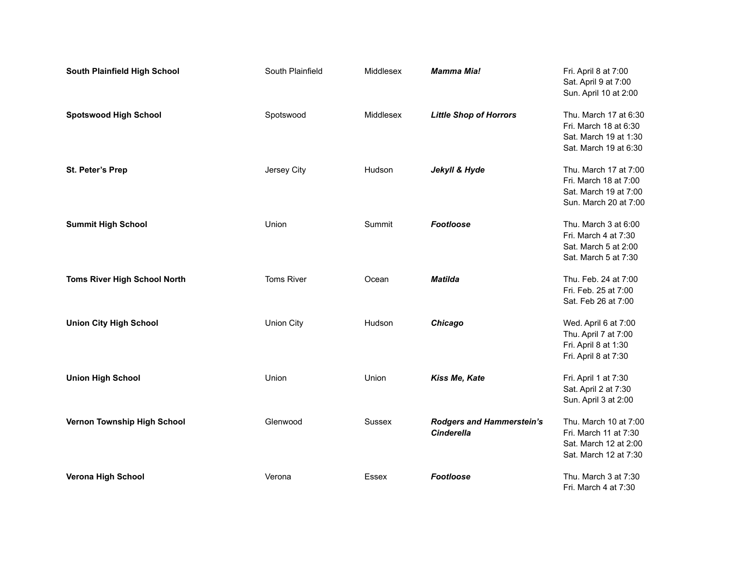| South Plainfield High School        | South Plainfield  | Middlesex | <b>Mamma Mia!</b>                                     | Fri. April 8 at 7:00<br>Sat. April 9 at 7:00<br>Sun. April 10 at 2:00                            |
|-------------------------------------|-------------------|-----------|-------------------------------------------------------|--------------------------------------------------------------------------------------------------|
| <b>Spotswood High School</b>        | Spotswood         | Middlesex | <b>Little Shop of Horrors</b>                         | Thu. March 17 at 6:30<br>Fri. March 18 at 6:30<br>Sat. March 19 at 1:30<br>Sat. March 19 at 6:30 |
| St. Peter's Prep                    | Jersey City       | Hudson    | Jekyll & Hyde                                         | Thu. March 17 at 7:00<br>Fri. March 18 at 7:00<br>Sat. March 19 at 7:00<br>Sun. March 20 at 7:00 |
| <b>Summit High School</b>           | Union             | Summit    | Footloose                                             | Thu. March 3 at 6:00<br>Fri. March 4 at 7:30<br>Sat. March 5 at 2:00<br>Sat. March 5 at 7:30     |
| <b>Toms River High School North</b> | <b>Toms River</b> | Ocean     | <b>Matilda</b>                                        | Thu. Feb. 24 at 7:00<br>Fri. Feb. 25 at 7:00<br>Sat. Feb 26 at 7:00                              |
| <b>Union City High School</b>       | <b>Union City</b> | Hudson    | Chicago                                               | Wed. April 6 at 7:00<br>Thu. April 7 at 7:00<br>Fri. April 8 at 1:30<br>Fri. April 8 at 7:30     |
| <b>Union High School</b>            | Union             | Union     | Kiss Me, Kate                                         | Fri. April 1 at 7:30<br>Sat. April 2 at 7:30<br>Sun. April 3 at 2:00                             |
| Vernon Township High School         | Glenwood          | Sussex    | <b>Rodgers and Hammerstein's</b><br><b>Cinderella</b> | Thu. March 10 at 7:00<br>Fri. March 11 at 7:30<br>Sat. March 12 at 2:00<br>Sat. March 12 at 7:30 |
| <b>Verona High School</b>           | Verona            | Essex     | Footloose                                             | Thu. March 3 at 7:30<br>Fri. March 4 at 7:30                                                     |